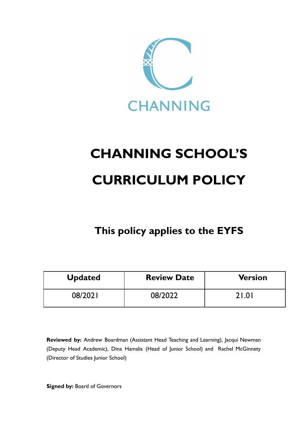

# **CHANNING SCHOOL'S CURRICULUM POLICY**

**This policy applies to the EYFS**

| <b>Updated</b> | <b>Review Date</b> | <b>Version</b> |
|----------------|--------------------|----------------|
| 08/2021        | 08/2022            | 21.01          |

**Reviewed by:** Andrew Boardman (Assistant Head Teaching and Learning), Jacqui Newman (Deputy Head Academic), Dina Hamalis (Head of Junior School) and Rachel McGinnety (Director of Studies Junior School)

**Signed by:** Board of Governors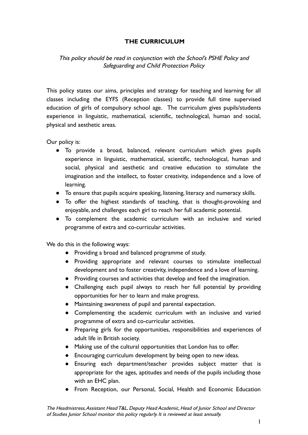# **THE CURRICULUM**

# This policy should be read in conjunction with the School's PSHE Policy and Safeguarding and Child Protection Policy

This policy states our aims, principles and strategy for teaching and learning for all classes including the EYFS (Reception classes) to provide full time supervised education of girls of compulsory school age. The curriculum gives pupils/students experience in linguistic, mathematical, scientific, technological, human and social, physical and aesthetic areas.

Our policy is:

- To provide a broad, balanced, relevant curriculum which gives pupils experience in linguistic, mathematical, scientific, technological, human and social, physical and aesthetic and creative education to stimulate the imagination and the intellect, to foster creativity, independence and a love of learning.
- To ensure that pupils acquire speaking, listening, literacy and numeracy skills.
- To offer the highest standards of teaching, that is thought-provoking and enjoyable, and challenges each girl to reach her full academic potential.
- To complement the academic curriculum with an inclusive and varied programme of extra and co-curricular activities.

We do this in the following ways:

- Providing a broad and balanced programme of study.
- Providing appropriate and relevant courses to stimulate intellectual development and to foster creativity, independence and a love of learning.
- Providing courses and activities that develop and feed the imagination.
- Challenging each pupil always to reach her full potential by providing opportunities for her to learn and make progress.
- Maintaining awareness of pupil and parental expectation.
- Complementing the academic curriculum with an inclusive and varied programme of extra and co-curricular activities.
- Preparing girls for the opportunities, responsibilities and experiences of adult life in British society.
- Making use of the cultural opportunities that London has to offer.
- Encouraging curriculum development by being open to new ideas.
- Ensuring each department/teacher provides subject matter that is appropriate for the ages, aptitudes and needs of the pupils including those with an EHC plan.
- From Reception, our Personal, Social, Health and Economic Education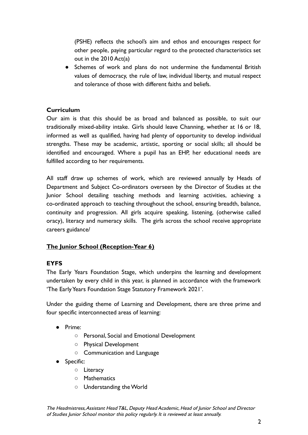(PSHE) reflects the school's aim and ethos and encourages respect for other people, paying particular regard to the protected characteristics set out in the 2010 Act(a)

● Schemes of work and plans do not undermine the fundamental British values of democracy, the rule of law, individual liberty, and mutual respect and tolerance of those with different faiths and beliefs.

# **Curriculum**

Our aim is that this should be as broad and balanced as possible, to suit our traditionally mixed-ability intake. Girls should leave Channing, whether at 16 or 18, informed as well as qualified, having had plenty of opportunity to develop individual strengths. These may be academic, artistic, sporting or social skills; all should be identified and encouraged. Where a pupil has an EHP, her educational needs are fulfilled according to her requirements.

All staff draw up schemes of work, which are reviewed annually by Heads of Department and Subject Co-ordinators overseen by the Director of Studies at the Junior School detailing teaching methods and learning activities, achieving a co-ordinated approach to teaching throughout the school, ensuring breadth, balance, continuity and progression. All girls acquire speaking, listening, (otherwise called oracy), literacy and numeracy skills. The girls across the school receive appropriate careers guidance/

# **The Junior School (Reception-Year 6)**

#### **EYFS**

The Early Years Foundation Stage, which underpins the learning and development undertaken by every child in this year, is planned in accordance with the framework 'The Early Years Foundation Stage Statutory Framework 2021'.

Under the guiding theme of Learning and Development, there are three prime and four specific interconnected areas of learning:

- Prime:
	- Personal, Social and Emotional Development
	- Physical Development
	- Communication and Language
- Specific:
	- Literacy
	- Mathematics
	- Understanding the World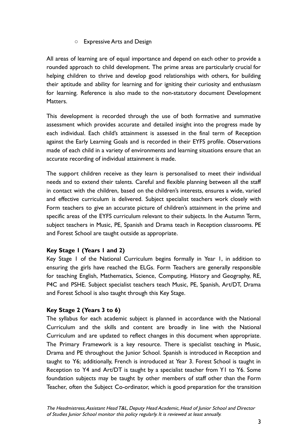# ○ Expressive Arts and Design

All areas of learning are of equal importance and depend on each other to provide a rounded approach to child development. The prime areas are particularly crucial for helping children to thrive and develop good relationships with others, for building their aptitude and ability for learning and for igniting their curiosity and enthusiasm for learning. Reference is also made to the non-statutory document Development Matters.

This development is recorded through the use of both formative and summative assessment which provides accurate and detailed insight into the progress made by each individual. Each child's attainment is assessed in the final term of Reception against the Early Learning Goals and is recorded in their EYFS profile. Observations made of each child in a variety of environments and learning situations ensure that an accurate recording of individual attainment is made.

The support children receive as they learn is personalised to meet their individual needs and to extend their talents. Careful and flexible planning between all the staff in contact with the children, based on the children's interests, ensures a wide, varied and effective curriculum is delivered. Subject specialist teachers work closely with Form teachers to give an accurate picture of children's attainment in the prime and specific areas of the EYFS curriculum relevant to their subjects. In the Autumn Term, subject teachers in Music, PE, Spanish and Drama teach in Reception classrooms. PE and Forest School are taught outside as appropriate.

#### **Key Stage 1 (Years 1 and 2)**

Key Stage 1 of the National Curriculum begins formally in Year 1, in addition to ensuring the girls have reached the ELGs. Form Teachers are generally responsible for teaching English, Mathematics, Science, Computing, History and Geography, RE, P4C and PSHE. Subject specialist teachers teach Music, PE, Spanish, Art/DT, Drama and Forest School is also taught through this Key Stage.

# **Key Stage 2 (Years 3 to 6)**

The syllabus for each academic subject is planned in accordance with the National Curriculum and the skills and content are broadly in line with the National Curriculum and are updated to reflect changes in this document when appropriate. The Primary Framework is a key resource. There is specialist teaching in Music, Drama and PE throughout the Junior School. Spanish is introduced in Reception and taught to Y6; additionally, French is introduced at Year 3. Forest School is taught in Reception to Y4 and Art/DT is taught by a specialist teacher from Y1 to Y6. Some foundation subjects may be taught by other members of staff other than the Form Teacher, often the Subject Co-ordinator, which is good preparation for the transition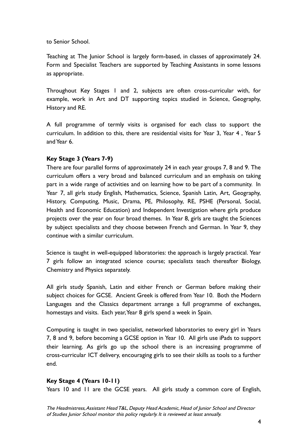to Senior School.

Teaching at The Junior School is largely form-based, in classes of approximately 24. Form and Specialist Teachers are supported by Teaching Assistants in some lessons as appropriate.

Throughout Key Stages 1 and 2, subjects are often cross-curricular with, for example, work in Art and DT supporting topics studied in Science, Geography, History and RE.

A full programme of termly visits is organised for each class to support the curriculum. In addition to this, there are residential visits for Year 3, Year 4 , Year 5 and Year 6.

# **Key Stage 3 (Years 7-9)**

There are four parallel forms of approximately 24 in each year groups 7, 8 and 9. The curriculum offers a very broad and balanced curriculum and an emphasis on taking part in a wide range of activities and on learning how to be part of a community. In Year 7, all girls study English, Mathematics, Science, Spanish Latin, Art, Geography, History, Computing, Music, Drama, PE, Philosophy, RE, PSHE (Personal, Social, Health and Economic Education) and Independent Investigation where girls produce projects over the year on four broad themes. In Year 8, girls are taught the Sciences by subject specialists and they choose between French and German. In Year 9, they continue with a similar curriculum.

Science is taught in well-equipped laboratories: the approach is largely practical. Year 7 girls follow an integrated science course; specialists teach thereafter Biology, Chemistry and Physics separately.

All girls study Spanish, Latin and either French or German before making their subject choices for GCSE. Ancient Greek is offered from Year 10. Both the Modern Languages and the Classics department arrange a full programme of exchanges, homestays and visits. Each year,Year 8 girls spend a week in Spain.

Computing is taught in two specialist, networked laboratories to every girl in Years 7, 8 and 9, before becoming a GCSE option in Year 10. All girls use iPads to support their learning. As girls go up the school there is an increasing programme of cross-curricular ICT delivery, encouraging girls to see their skills as tools to a further end.

#### **Key Stage 4 (Years 10-11)**

Years 10 and 11 are the GCSE years. All girls study a common core of English,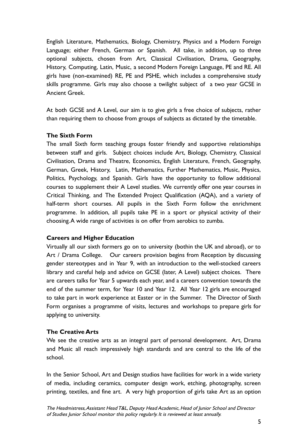English Literature, Mathematics, Biology, Chemistry, Physics and a Modern Foreign Language; either French, German or Spanish. All take, in addition, up to three optional subjects, chosen from Art, Classical Civilisation, Drama, Geography, History, Computing, Latin, Music, a second Modern Foreign Language, PE and RE. All girls have (non-examined) RE, PE and PSHE, which includes a comprehensive study skills programme. Girls may also choose a twilight subject of a two year GCSE in Ancient Greek.

At both GCSE and A Level, our aim is to give girls a free choice of subjects, rather than requiring them to choose from groups of subjects as dictated by the timetable.

# **The Sixth Form**

The small Sixth form teaching groups foster friendly and supportive relationships between staff and girls. Subject choices include Art, Biology, Chemistry, Classical Civilisation, Drama and Theatre, Economics, English Literature, French, Geography, German, Greek, History, Latin, Mathematics, Further Mathematics, Music, Physics, Politics, Psychology, and Spanish. Girls have the opportunity to follow additional courses to supplement their A Level studies. We currently offer one year courses in Critical Thinking, and The Extended Project Qualification (AQA), and a variety of half-term short courses. All pupils in the Sixth Form follow the enrichment programme. In addition, all pupils take PE in a sport or physical activity of their choosing.A wide range of activities is on offer from aerobics to zumba.

#### **Careers and Higher Education**

Virtually all our sixth formers go on to university (bothin the UK and abroad), or to Art / Drama College. Our careers provision begins from Reception by discussing gender stereotypes and in Year 9, with an introduction to the well-stocked careers library and careful help and advice on GCSE (later, A Level) subject choices. There are careers talks for Year 5 upwards each year, and a careers convention towards the end of the summer term, for Year 10 and Year 12. All Year 12 girls are encouraged to take part in work experience at Easter or in the Summer. The Director of Sixth Form organises a programme of visits, lectures and workshops to prepare girls for applying to university.

# **The Creative Arts**

We see the creative arts as an integral part of personal development. Art, Drama and Music all reach impressively high standards and are central to the life of the school.

In the Senior School, Art and Design studios have facilities for work in a wide variety of media, including ceramics, computer design work, etching, photography, screen printing, textiles, and fine art. A very high proportion of girls take Art as an option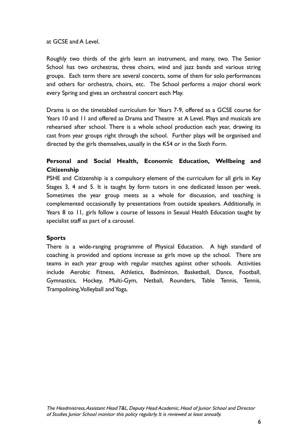at GCSE and A Level.

Roughly two thirds of the girls learn an instrument, and many, two. The Senior School has two orchestras, three choirs, wind and jazz bands and various string groups. Each term there are several concerts, some of them for solo performances and others for orchestra, choirs, etc. The School performs a major choral work every Spring and gives an orchestral concert each May.

Drama is on the timetabled curriculum for Years 7-9, offered as a GCSE course for Years 10 and 11 and offered as Drama and Theatre at A Level. Plays and musicals are rehearsed after school. There is a whole school production each year, drawing its cast from year groups right through the school. Further plays will be organised and directed by the girls themselves, usually in the KS4 or in the Sixth Form.

# **Personal and Social Health, Economic Education, Wellbeing and Citizenship**

PSHE and Citizenship is a compulsory element of the curriculum for all girls in Key Stages 3, 4 and 5. It is taught by form tutors in one dedicated lesson per week. Sometimes the year group meets as a whole for discussion, and teaching is complemented occasionally by presentations from outside speakers. Additionally, in Years 8 to 11, girls follow a course of lessons in Sexual Health Education taught by specialist staff as part of a carousel.

#### **Sports**

There is a wide-ranging programme of Physical Education. A high standard of coaching is provided and options increase as girls move up the school. There are teams in each year group with regular matches against other schools. Activities include Aerobic Fitness, Athletics, Badminton, Basketball, Dance, Football, Gymnastics, Hockey, Multi-Gym, Netball, Rounders, Table Tennis, Tennis, Trampolining,Volleyball and Yoga.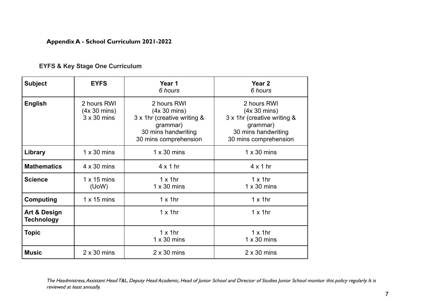#### **Appendix A - School Curriculum 2021-2022**

|  |  |  |  | <b>EYFS &amp; Key Stage One Curriculum</b> |
|--|--|--|--|--------------------------------------------|
|--|--|--|--|--------------------------------------------|

| <b>Subject</b>                               | <b>EYFS</b>                                                 | Year 1<br>6 hours                                                                                                      | Year <sub>2</sub><br>6 hours                                                                                           |
|----------------------------------------------|-------------------------------------------------------------|------------------------------------------------------------------------------------------------------------------------|------------------------------------------------------------------------------------------------------------------------|
| <b>English</b>                               | 2 hours RWI<br>$(4x 30 \text{ mins})$<br>$3 \times 30$ mins | 2 hours RWI<br>(4x 30 mins)<br>3 x 1hr (creative writing &<br>grammar)<br>30 mins handwriting<br>30 mins comprehension | 2 hours RWI<br>(4x 30 mins)<br>3 x 1hr (creative writing &<br>grammar)<br>30 mins handwriting<br>30 mins comprehension |
| Library                                      | $1 \times 30$ mins                                          | $1 \times 30$ mins                                                                                                     | $1 \times 30$ mins                                                                                                     |
| <b>Mathematics</b>                           | $4 \times 30$ mins                                          | $4 \times 1$ hr                                                                                                        | $4 \times 1$ hr                                                                                                        |
| <b>Science</b>                               | $1 \times 15$ mins<br>(UoW)                                 | $1 \times 1$ hr<br>$1 \times 30$ mins                                                                                  | $1 \times 1$ hr<br>$1 \times 30$ mins                                                                                  |
| Computing                                    | $1 \times 15$ mins                                          | $1 \times 1$ hr                                                                                                        | $1 \times 1$ hr                                                                                                        |
| <b>Art &amp; Design</b><br><b>Technology</b> |                                                             | $1 \times 1$ hr                                                                                                        | $1 \times 1$ hr                                                                                                        |
| <b>Topic</b>                                 |                                                             | $1 \times 1$ hr<br>$1 \times 30$ mins                                                                                  | $1 \times 1$ hr<br>$1 \times 30$ mins                                                                                  |
| <b>Music</b>                                 | $2 \times 30$ mins                                          | $2 \times 30$ mins                                                                                                     | $2 \times 30$ mins                                                                                                     |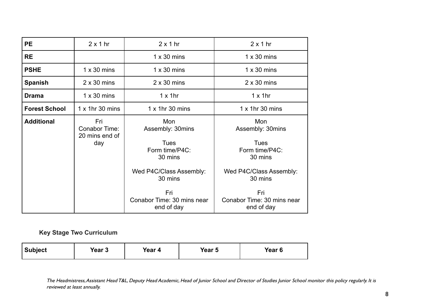| <b>PE</b>            | $2 \times 1$ hr                               | $2 \times 1$ hr<br>$2 \times 1$ hr                                                                               |                                                                                                                  |
|----------------------|-----------------------------------------------|------------------------------------------------------------------------------------------------------------------|------------------------------------------------------------------------------------------------------------------|
| <b>RE</b>            |                                               | $1 \times 30$ mins                                                                                               | $1 \times 30$ mins                                                                                               |
| <b>PSHE</b>          | $1 \times 30$ mins                            | $1 \times 30$ mins                                                                                               | $1 \times 30$ mins                                                                                               |
| <b>Spanish</b>       | $2 \times 30$ mins                            | $2 \times 30$ mins                                                                                               | $2 \times 30$ mins                                                                                               |
| <b>Drama</b>         | $1 \times 30$ mins                            | $1 \times 1$ hr                                                                                                  | $1 \times 1$ hr                                                                                                  |
| <b>Forest School</b> | $1 \times 1$ hr 30 mins                       | $1 \times 1$ hr 30 mins                                                                                          | $1 \times 1$ hr 30 mins                                                                                          |
| <b>Additional</b>    | Fri<br>Conabor Time:<br>20 mins end of<br>day | Mon<br>Assembly: 30mins<br><b>Tues</b><br>Form time/P4C:<br>30 mins<br>Wed P4C/Class Assembly:<br>30 mins<br>Fri | Mon<br>Assembly: 30mins<br><b>Tues</b><br>Form time/P4C:<br>30 mins<br>Wed P4C/Class Assembly:<br>30 mins<br>Fri |
|                      |                                               | Conabor Time: 30 mins near<br>end of day                                                                         | Conabor Time: 30 mins near<br>end of day                                                                         |

**Key Stage Two Curriculum**

| <b>Subject</b><br>Year 3 | Year 4 | Year 5 | Year <sub>6</sub> |
|--------------------------|--------|--------|-------------------|
|--------------------------|--------|--------|-------------------|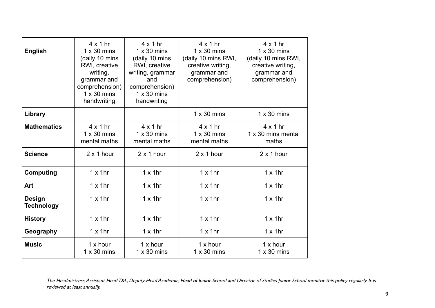| <b>English</b>                     | $4 \times 1$ hr<br>$1 \times 30$ mins<br>(daily 10 mins<br>RWI, creative<br>writing,<br>grammar and<br>comprehension)<br>$1 \times 30$ mins<br>handwriting | $4 \times 1$ hr<br>$1 \times 30$ mins<br>(daily 10 mins<br>RWI, creative<br>writing, grammar<br>and<br>comprehension)<br>$1 \times 30$ mins<br>handwriting | $4 \times 1$ hr<br>$1 \times 30$ mins<br>(daily 10 mins RWI,<br>creative writing,<br>grammar and<br>comprehension) | $4 \times 1$ hr<br>$1 \times 30$ mins<br>(daily 10 mins RWI,<br>creative writing,<br>grammar and<br>comprehension) |
|------------------------------------|------------------------------------------------------------------------------------------------------------------------------------------------------------|------------------------------------------------------------------------------------------------------------------------------------------------------------|--------------------------------------------------------------------------------------------------------------------|--------------------------------------------------------------------------------------------------------------------|
| Library                            |                                                                                                                                                            |                                                                                                                                                            | $1 \times 30$ mins                                                                                                 | $1 \times 30$ mins                                                                                                 |
| <b>Mathematics</b>                 | $4 \times 1$ hr<br>$1 \times 30$ mins<br>mental maths                                                                                                      | $4 \times 1$ hr<br>$1 \times 30$ mins<br>mental maths                                                                                                      | $4 \times 1$ hr<br>$1 \times 30$ mins<br>mental maths                                                              | $4 \times 1$ hr<br>1 x 30 mins mental<br>maths                                                                     |
| <b>Science</b>                     | $2 \times 1$ hour                                                                                                                                          | $2 \times 1$ hour                                                                                                                                          | $2 \times 1$ hour                                                                                                  | $2 \times 1$ hour                                                                                                  |
| <b>Computing</b>                   | $1 \times 1$ hr                                                                                                                                            | $1 \times 1$ hr                                                                                                                                            | $1 \times 1$ hr                                                                                                    | $1 \times 1$ hr                                                                                                    |
| Art                                | $1 \times 1$ hr                                                                                                                                            | $1 \times 1$ hr                                                                                                                                            | $1 \times 1$ hr                                                                                                    | $1 \times 1$ hr                                                                                                    |
| <b>Design</b><br><b>Technology</b> | $1 \times 1$ hr                                                                                                                                            | $1 \times 1$ hr                                                                                                                                            | $1 \times 1$ hr                                                                                                    | $1 \times 1$ hr                                                                                                    |
| <b>History</b>                     | $1 \times 1$ hr                                                                                                                                            | $1 \times 1$ hr                                                                                                                                            | $1 \times 1$ hr                                                                                                    | $1 \times 1$ hr                                                                                                    |
| Geography                          | $1 \times 1$ hr                                                                                                                                            | $1 \times 1$ hr                                                                                                                                            | $1 \times 1$ hr                                                                                                    | $1 \times 1$ hr                                                                                                    |
| <b>Music</b>                       | $1x$ hour<br>$1 \times 30$ mins                                                                                                                            | $1x$ hour<br>$1 \times 30$ mins                                                                                                                            | $1x$ hour<br>$1 \times 30$ mins                                                                                    | $1x$ hour<br>$1 \times 30$ mins                                                                                    |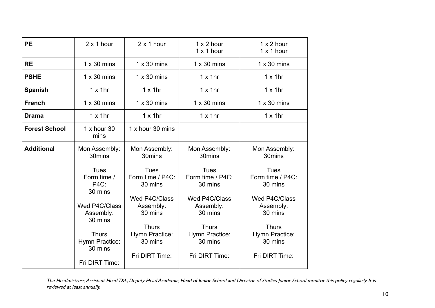| <b>PE</b>            | $2 \times 1$ hour                                                                                                                   | $2 \times 1$ hour                                                                                                                                  | $1 \times 2$ hour<br>$1 \times 1$ hour                                                                                                             | $1 \times 2$ hour<br>$1 \times 1$ hour                                                                                                             |
|----------------------|-------------------------------------------------------------------------------------------------------------------------------------|----------------------------------------------------------------------------------------------------------------------------------------------------|----------------------------------------------------------------------------------------------------------------------------------------------------|----------------------------------------------------------------------------------------------------------------------------------------------------|
| <b>RE</b>            | $1 \times 30$ mins                                                                                                                  | $1 \times 30$ mins                                                                                                                                 | $1 \times 30$ mins                                                                                                                                 | $1 \times 30$ mins                                                                                                                                 |
| <b>PSHE</b>          | $1 \times 30$ mins                                                                                                                  | $1 \times 30$ mins                                                                                                                                 | $1 \times 1$ hr                                                                                                                                    | $1 \times 1$ hr                                                                                                                                    |
| <b>Spanish</b>       | $1 \times 1$ hr                                                                                                                     | $1 \times 1$ hr                                                                                                                                    | $1 \times 1$ hr                                                                                                                                    | $1 \times 1$ hr                                                                                                                                    |
| <b>French</b>        | $1 \times 30$ mins                                                                                                                  | $1 \times 30$ mins                                                                                                                                 | $1 \times 30$ mins                                                                                                                                 | $1 \times 30$ mins                                                                                                                                 |
| <b>Drama</b>         | $1 \times 1$ hr                                                                                                                     | $1 \times 1$ hr                                                                                                                                    | $1 \times 1$ hr                                                                                                                                    | $1 \times 1$ hr                                                                                                                                    |
| <b>Forest School</b> | $1x$ hour 30<br>mins                                                                                                                | 1 x hour 30 mins                                                                                                                                   |                                                                                                                                                    |                                                                                                                                                    |
| <b>Additional</b>    | Mon Assembly:<br>30mins                                                                                                             | Mon Assembly:<br>30mins                                                                                                                            | Mon Assembly:<br>30mins                                                                                                                            | Mon Assembly:<br>30mins                                                                                                                            |
|                      | <b>Tues</b><br>Form time /<br>P4C:<br>30 mins<br>Wed P4C/Class<br>Assembly:<br>30 mins<br><b>Thurs</b><br>Hymn Practice:<br>30 mins | <b>Tues</b><br>Form time / P4C:<br>30 mins<br>Wed P4C/Class<br>Assembly:<br>30 mins<br><b>Thurs</b><br>Hymn Practice:<br>30 mins<br>Fri DIRT Time: | <b>Tues</b><br>Form time / P4C:<br>30 mins<br>Wed P4C/Class<br>Assembly:<br>30 mins<br><b>Thurs</b><br>Hymn Practice:<br>30 mins<br>Fri DIRT Time: | <b>Tues</b><br>Form time / P4C:<br>30 mins<br>Wed P4C/Class<br>Assembly:<br>30 mins<br><b>Thurs</b><br>Hymn Practice:<br>30 mins<br>Fri DIRT Time: |
|                      | Fri DIRT Time:                                                                                                                      |                                                                                                                                                    |                                                                                                                                                    |                                                                                                                                                    |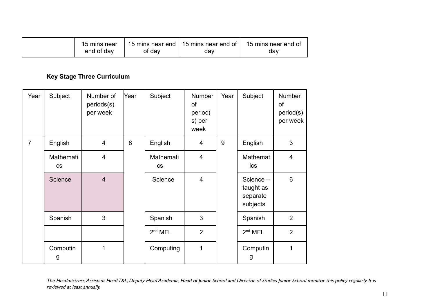| 15 mins near |        |     | 15 mins near end   15 mins near end of   15 mins near end of |
|--------------|--------|-----|--------------------------------------------------------------|
| end of day   | of day | day | dav                                                          |

# **Key Stage Three Curriculum**

| Year           | Subject                | Number of<br>periods(s)<br>per week | Year | Subject                | Number<br>οf<br>period(<br>s) per<br>week | Year | Subject                                        | <b>Number</b><br>of<br>period(s)<br>per week |
|----------------|------------------------|-------------------------------------|------|------------------------|-------------------------------------------|------|------------------------------------------------|----------------------------------------------|
| $\overline{7}$ | English                | $\overline{\mathcal{A}}$            | 8    | English                | 4                                         | 9    | English                                        | 3                                            |
|                | Mathemati<br><b>CS</b> | $\overline{\mathbf{4}}$             |      | Mathemati<br><b>CS</b> | $\overline{4}$                            |      | Mathemat<br>ics                                | 4                                            |
|                | Science                | $\overline{4}$                      |      | Science                | $\overline{4}$                            |      | Science -<br>taught as<br>separate<br>subjects | $6\phantom{1}$                               |
|                | Spanish                | 3                                   |      | Spanish                | 3                                         |      | Spanish                                        | 2                                            |
|                |                        |                                     |      | 2 <sup>nd</sup> MFL    | $\overline{2}$                            |      | 2 <sup>nd</sup> MFL                            | $\overline{2}$                               |
|                | Computin<br>g          | 1                                   |      | Computing              | 1                                         |      | Computin<br>$\mathsf{g}$                       | 1                                            |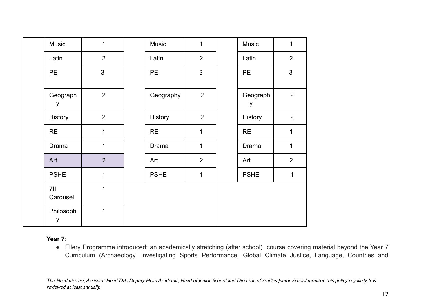| <b>Music</b>    | $\mathbf{1}$   | <b>Music</b> | $\mathbf{1}$   | Music         | $\mathbf{1}$   |
|-----------------|----------------|--------------|----------------|---------------|----------------|
| Latin           | $\overline{2}$ | Latin        | $\overline{2}$ | Latin         | $\overline{2}$ |
| <b>PE</b>       | $\overline{3}$ | <b>PE</b>    | $\overline{3}$ | <b>PE</b>     | $\mathfrak{S}$ |
| Geograph<br>y   | $\overline{2}$ | Geography    | $\overline{2}$ | Geograph<br>y | $\overline{2}$ |
| History         | 2              | History      | 2              | History       | 2              |
| <b>RE</b>       | $\overline{1}$ | <b>RE</b>    | $\mathbf{1}$   | <b>RE</b>     | $\mathbf{1}$   |
| Drama           | 1              | Drama        | 1              | Drama         | 1              |
| Art             | $\overline{2}$ | Art          | $\overline{2}$ | Art           | 2              |
| <b>PSHE</b>     | 1              | <b>PSHE</b>  | $\mathbf 1$    | <b>PSHE</b>   | $\mathbf 1$    |
| 7II<br>Carousel | 1              |              |                |               |                |
| Philosoph<br>у  | 1              |              |                |               |                |

**Year 7:**

● Ellery Programme introduced: an academically stretching (after school) course covering material beyond the Year 7 Curriculum (Archaeology, Investigating Sports Performance, Global Climate Justice, Language, Countries and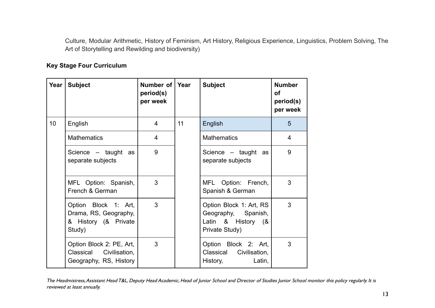Culture, Modular Arithmetic, History of Feminism, Art History, Religious Experience, Linguistics, Problem Solving, The Art of Storytelling and Rewilding and biodiversity)

# **Key Stage Four Curriculum**

| Year | <b>Subject</b>                                                                  | Number of   Year<br>period(s)<br>per week |    | <b>Subject</b>                                                                         | <b>Number</b><br>Οf<br>period(s)<br>per week |
|------|---------------------------------------------------------------------------------|-------------------------------------------|----|----------------------------------------------------------------------------------------|----------------------------------------------|
| 10   | English                                                                         | $\overline{4}$                            | 11 | English                                                                                | 5                                            |
|      | <b>Mathematics</b>                                                              | $\overline{4}$                            |    | <b>Mathematics</b>                                                                     | 4                                            |
|      | Science $-$ taught as<br>separate subjects                                      | 9                                         |    | Science – taught<br>as<br>separate subjects                                            | 9                                            |
|      | MFL Option: Spanish,<br>French & German                                         | 3                                         |    | MFL Option: French,<br>Spanish & German                                                | 3                                            |
|      | Option Block 1: Art,<br>Drama, RS, Geography,<br>& History (& Private<br>Study) | 3                                         |    | Option Block 1: Art, RS<br>Geography, Spanish,<br>Latin & History (&<br>Private Study) | 3                                            |
|      | Option Block 2: PE, Art,<br>Classical Civilisation,<br>Geography, RS, History   | 3                                         |    | Option Block 2: Art,<br>Classical Civilisation,<br>History,<br>Latin,                  | 3                                            |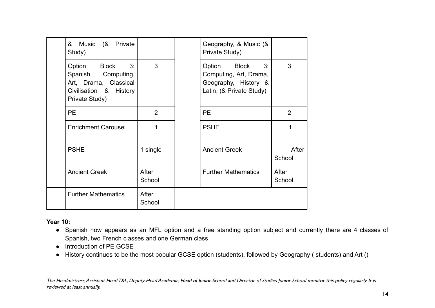| & Music (& Private<br>Study)                                                                                |                 | Geography, & Music (&<br>Private Study)                                                       |                 |
|-------------------------------------------------------------------------------------------------------------|-----------------|-----------------------------------------------------------------------------------------------|-----------------|
| Option Block 3:<br>Spanish, Computing,<br>Art, Drama, Classical<br>Civilisation & History<br>Private Study) | 3               | Option Block 3:<br>Computing, Art, Drama,<br>Geography, History &<br>Latin, (& Private Study) | 3               |
| <b>PE</b>                                                                                                   | $\overline{2}$  | <b>PE</b>                                                                                     | $\overline{2}$  |
| <b>Enrichment Carousel</b>                                                                                  | 1               | <b>PSHE</b>                                                                                   | 1               |
| <b>PSHE</b>                                                                                                 | 1 single        | <b>Ancient Greek</b>                                                                          | After<br>School |
| <b>Ancient Greek</b>                                                                                        | After<br>School | <b>Further Mathematics</b>                                                                    | After<br>School |
| <b>Further Mathematics</b>                                                                                  | After<br>School |                                                                                               |                 |

# **Year 10:**

- Spanish now appears as an MFL option and a free standing option subject and currently there are 4 classes of Spanish, two French classes and one German class
- Introduction of PE GCSE
- History continues to be the most popular GCSE option (students), followed by Geography ( students) and Art ()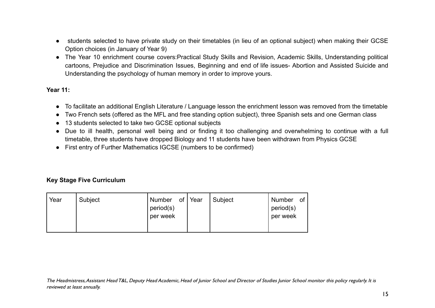- students selected to have private study on their timetables (in lieu of an optional subject) when making their GCSE Option choices (in January of Year 9)
- The Year 10 enrichment course covers:Practical Study Skills and Revision, Academic Skills, Understanding political cartoons, Prejudice and Discrimination Issues, Beginning and end of life issues- Abortion and Assisted Suicide and Understanding the psychology of human memory in order to improve yours.

#### **Year 11:**

- To facilitate an additional English Literature / Language lesson the enrichment lesson was removed from the timetable
- Two French sets (offered as the MFL and free standing option subject), three Spanish sets and one German class
- 13 students selected to take two GCSE optional subjects
- Due to ill health, personal well being and or finding it too challenging and overwhelming to continue with a full timetable, three students have dropped Biology and 11 students have been withdrawn from Physics GCSE
- First entry of Further Mathematics IGCSE (numbers to be confirmed)

# **Key Stage Five Curriculum**

| Year | Subject | Number of Year<br>period(s)<br>per week |  | Subject | Number<br>period(s)<br>per week | of |
|------|---------|-----------------------------------------|--|---------|---------------------------------|----|
|------|---------|-----------------------------------------|--|---------|---------------------------------|----|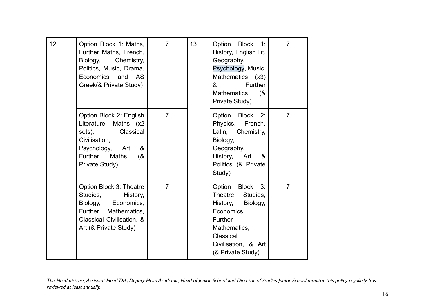| 12 | Option Block 1: Maths,<br>Further Maths, French,<br>Biology,<br>Chemistry,<br>Politics, Music, Drama,<br>Economics and AS<br>Greek(& Private Study)                         | $\overline{7}$ | 13 | Option Block 1:<br>History, English Lit,<br>Geography,<br>Psychology, Music,<br>Mathematics (x3)<br>Further<br>&<br><b>Mathematics</b><br>(8)<br>Private Study)  | $\overline{7}$ |
|----|-----------------------------------------------------------------------------------------------------------------------------------------------------------------------------|----------------|----|------------------------------------------------------------------------------------------------------------------------------------------------------------------|----------------|
|    | Option Block 2: English<br>Literature, Maths (x2<br>Classical<br>sets),<br>Civilisation,<br>Psychology, Art<br>&<br><b>Further</b><br><b>Maths</b><br>(8)<br>Private Study) | $\overline{7}$ |    | Option Block<br>2:<br>Physics,<br>French,<br>Latin, Chemistry,<br>Biology,<br>Geography,<br>History,<br>&<br>Art<br>Politics (& Private<br>Study)                | $\overline{7}$ |
|    | Option Block 3: Theatre<br>Studies,<br>History,<br>Economics,<br>Biology,<br>Further Mathematics,<br>Classical Civilisation, &<br>Art (& Private Study)                     | $\overline{7}$ |    | Option Block 3:<br>Theatre<br>Studies,<br>History,<br>Biology,<br>Economics,<br>Further<br>Mathematics,<br>Classical<br>Civilisation, & Art<br>(& Private Study) | $\overline{7}$ |